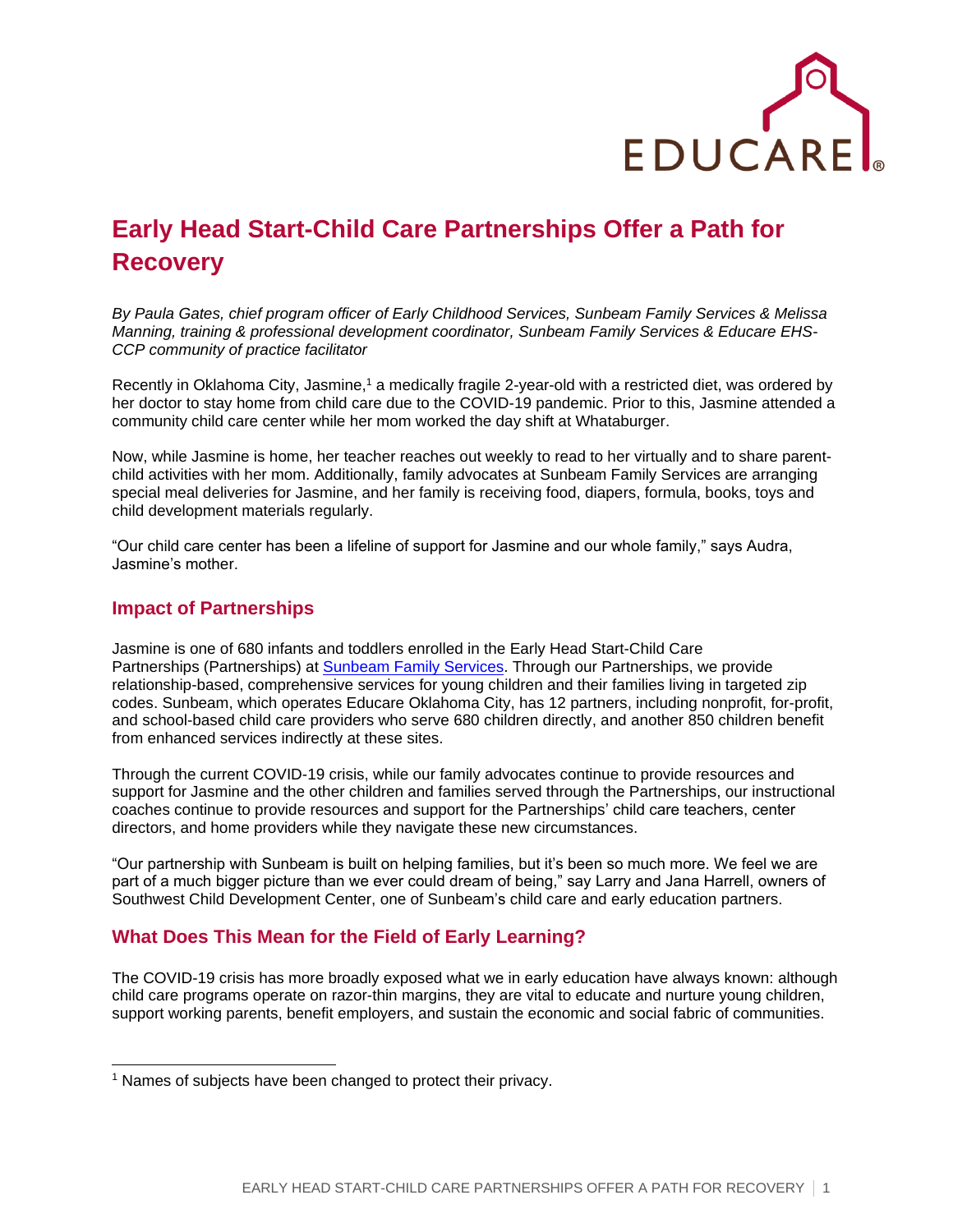

## **Early Head Start-Child Care Partnerships Offer a Path for Recovery**

*By Paula Gates, chief program officer of Early Childhood Services, Sunbeam Family Services & Melissa Manning, training & professional development coordinator, Sunbeam Family Services & Educare EHS-CCP community of practice facilitator*

Recently in Oklahoma City, Jasmine,<sup>1</sup> a medically fragile 2-year-old with a restricted diet, was ordered by her doctor to stay home from child care due to the COVID-19 pandemic. Prior to this, Jasmine attended a community child care center while her mom worked the day shift at Whataburger.

Now, while Jasmine is home, her teacher reaches out weekly to read to her virtually and to share parentchild activities with her mom. Additionally, family advocates at Sunbeam Family Services are arranging special meal deliveries for Jasmine, and her family is receiving food, diapers, formula, books, toys and child development materials regularly.

"Our child care center has been a lifeline of support for Jasmine and our whole family," says Audra, Jasmine's mother.

## **Impact of Partnerships**

Jasmine is one of 680 infants and toddlers enrolled in the Early Head Start-Child Care Partnerships (Partnerships) at **Sunbeam Family Services**. Through our Partnerships, we provide relationship-based, comprehensive services for young children and their families living in targeted zip codes. Sunbeam, which operates Educare Oklahoma City, has 12 partners, including nonprofit, for-profit, and school-based child care providers who serve 680 children directly, and another 850 children benefit from enhanced services indirectly at these sites.

Through the current COVID-19 crisis, while our family advocates continue to provide resources and support for Jasmine and the other children and families served through the Partnerships, our instructional coaches continue to provide resources and support for the Partnerships' child care teachers, center directors, and home providers while they navigate these new circumstances.

"Our partnership with Sunbeam is built on helping families, but it's been so much more. We feel we are part of a much bigger picture than we ever could dream of being," say Larry and Jana Harrell, owners of Southwest Child Development Center, one of Sunbeam's child care and early education partners.

## **What Does This Mean for the Field of Early Learning?**

The COVID-19 crisis has more broadly exposed what we in early education have always known: although child care programs operate on razor-thin margins, they are vital to educate and nurture young children, support working parents, benefit employers, and sustain the economic and social fabric of communities.

<sup>&</sup>lt;sup>1</sup> Names of subjects have been changed to protect their privacy.